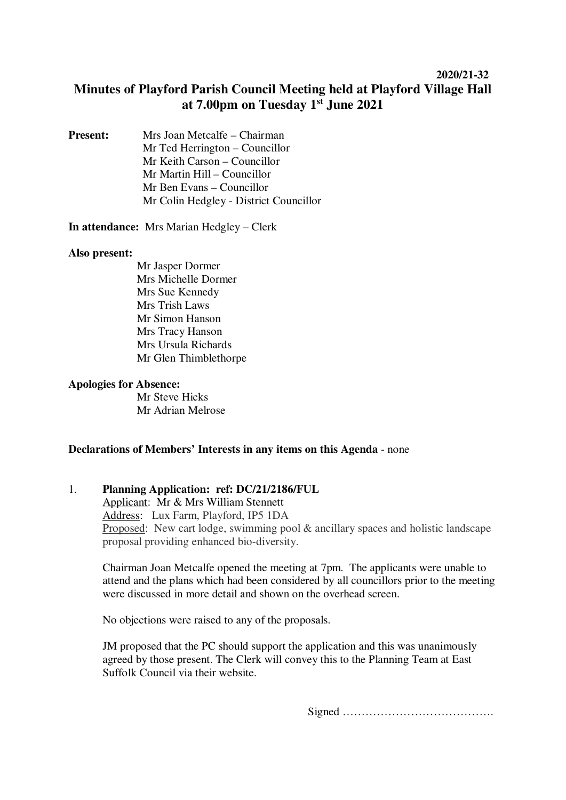## **2020/21-32**

# **Minutes of Playford Parish Council Meeting held at Playford Village Hall at 7.00pm on Tuesday 1st June 2021**

**Present:** Mrs Joan Metcalfe – Chairman Mr Ted Herrington – Councillor Mr Keith Carson – Councillor Mr Martin Hill – Councillor Mr Ben Evans – Councillor Mr Colin Hedgley - District Councillor

**In attendance:** Mrs Marian Hedgley – Clerk

#### **Also present:**

Mr Jasper Dormer Mrs Michelle Dormer Mrs Sue Kennedy Mrs Trish Laws Mr Simon Hanson Mrs Tracy Hanson Mrs Ursula Richards Mr Glen Thimblethorpe

#### **Apologies for Absence:**

 Mr Steve Hicks Mr Adrian Melrose

## **Declarations of Members' Interests in any items on this Agenda** - none

## 1. **Planning Application: ref: DC/21/2186/FUL**

Applicant: Mr & Mrs William Stennett Address: Lux Farm, Playford, IP5 1DA Proposed: New cart lodge, swimming pool & ancillary spaces and holistic landscape proposal providing enhanced bio-diversity.

Chairman Joan Metcalfe opened the meeting at 7pm. The applicants were unable to attend and the plans which had been considered by all councillors prior to the meeting were discussed in more detail and shown on the overhead screen.

No objections were raised to any of the proposals.

JM proposed that the PC should support the application and this was unanimously agreed by those present. The Clerk will convey this to the Planning Team at East Suffolk Council via their website.

Signed ………………………………….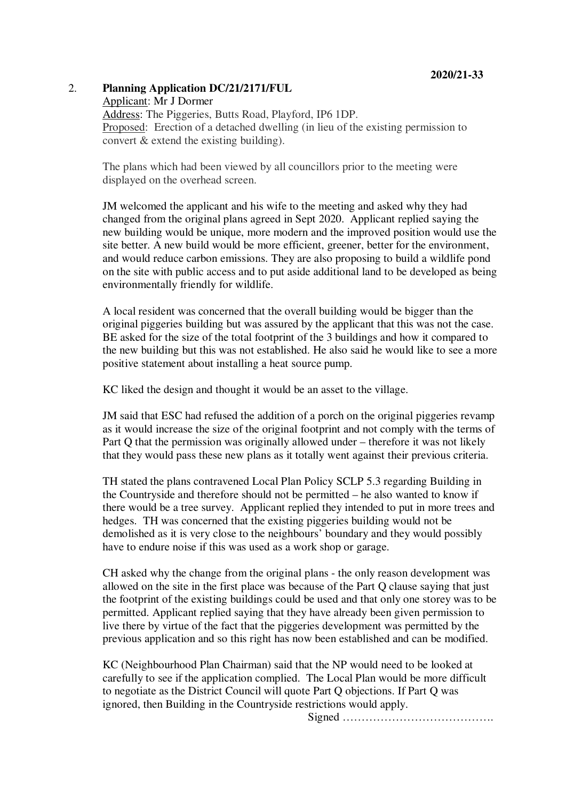## 2. **Planning Application DC/21/2171/FUL**

Applicant: Mr J Dormer

Address: The Piggeries, Butts Road, Playford, IP6 1DP. Proposed: Erection of a detached dwelling (in lieu of the existing permission to convert & extend the existing building).

The plans which had been viewed by all councillors prior to the meeting were displayed on the overhead screen.

JM welcomed the applicant and his wife to the meeting and asked why they had changed from the original plans agreed in Sept 2020. Applicant replied saying the new building would be unique, more modern and the improved position would use the site better. A new build would be more efficient, greener, better for the environment, and would reduce carbon emissions. They are also proposing to build a wildlife pond on the site with public access and to put aside additional land to be developed as being environmentally friendly for wildlife.

A local resident was concerned that the overall building would be bigger than the original piggeries building but was assured by the applicant that this was not the case. BE asked for the size of the total footprint of the 3 buildings and how it compared to the new building but this was not established. He also said he would like to see a more positive statement about installing a heat source pump.

KC liked the design and thought it would be an asset to the village.

JM said that ESC had refused the addition of a porch on the original piggeries revamp as it would increase the size of the original footprint and not comply with the terms of Part Q that the permission was originally allowed under – therefore it was not likely that they would pass these new plans as it totally went against their previous criteria.

TH stated the plans contravened Local Plan Policy SCLP 5.3 regarding Building in the Countryside and therefore should not be permitted – he also wanted to know if there would be a tree survey. Applicant replied they intended to put in more trees and hedges. TH was concerned that the existing piggeries building would not be demolished as it is very close to the neighbours' boundary and they would possibly have to endure noise if this was used as a work shop or garage.

CH asked why the change from the original plans - the only reason development was allowed on the site in the first place was because of the Part Q clause saying that just the footprint of the existing buildings could be used and that only one storey was to be permitted. Applicant replied saying that they have already been given permission to live there by virtue of the fact that the piggeries development was permitted by the previous application and so this right has now been established and can be modified.

KC (Neighbourhood Plan Chairman) said that the NP would need to be looked at carefully to see if the application complied. The Local Plan would be more difficult to negotiate as the District Council will quote Part Q objections. If Part Q was ignored, then Building in the Countryside restrictions would apply.

Signed ………………………………….